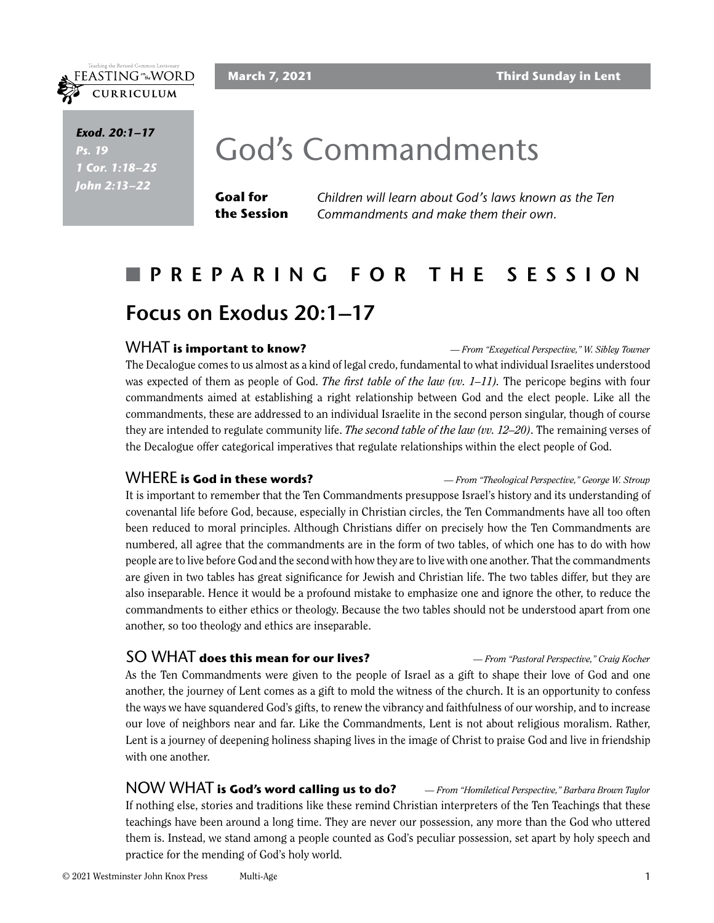

*Scripture Exod. 20:1–17 Ps.* 19 *Scripture 1 Cor. 1:18–25 Scripture John 2:13–22*

## God's Commandments

**Goal for the Session** *Children will learn about God's laws known as the Ten Commandments and make them their own.* 

## n **PREPARING FOR THE SESSION Focus on Exodus 20:1–17**

#### WHAT **is important to know?** *— From "Exegetical Perspective," W. Sibley Towner*

The Decalogue comes to us almost as a kind of legal credo, fundamental to what individual Israelites understood was expected of them as people of God. *The first table of the law (vv. 1–11).* The pericope begins with four commandments aimed at establishing a right relationship between God and the elect people. Like all the commandments, these are addressed to an individual Israelite in the second person singular, though of course they are intended to regulate community life. *The second table of the law (vv. 12–20)*. The remaining verses of the Decalogue offer categorical imperatives that regulate relationships within the elect people of God.

WHERE **is God in these words?** *— From "Theological Perspective," George W. Stroup*

It is important to remember that the Ten Commandments presuppose Israel's history and its understanding of covenantal life before God, because, especially in Christian circles, the Ten Commandments have all too often been reduced to moral principles. Although Christians differ on precisely how the Ten Commandments are numbered, all agree that the commandments are in the form of two tables, of which one has to do with how people are to live before God and the second with how they are to live with one another. That the commandments are given in two tables has great significance for Jewish and Christian life. The two tables differ, but they are also inseparable. Hence it would be a profound mistake to emphasize one and ignore the other, to reduce the commandments to either ethics or theology. Because the two tables should not be understood apart from one another, so too theology and ethics are inseparable.

#### SO WHAT **does this mean for our lives?** *— From "Pastoral Perspective," Craig Kocher*

As the Ten Commandments were given to the people of Israel as a gift to shape their love of God and one another, the journey of Lent comes as a gift to mold the witness of the church. It is an opportunity to confess the ways we have squandered God's gifts, to renew the vibrancy and faithfulness of our worship, and to increase our love of neighbors near and far. Like the Commandments, Lent is not about religious moralism. Rather, Lent is a journey of deepening holiness shaping lives in the image of Christ to praise God and live in friendship with one another.

NOW WHAT **is God's word calling us to do?** *— From "Homiletical Perspective," Barbara Brown Taylor* If nothing else, stories and traditions like these remind Christian interpreters of the Ten Teachings that these teachings have been around a long time. They are never our possession, any more than the God who uttered them is. Instead, we stand among a people counted as God's peculiar possession, set apart by holy speech and practice for the mending of God's holy world.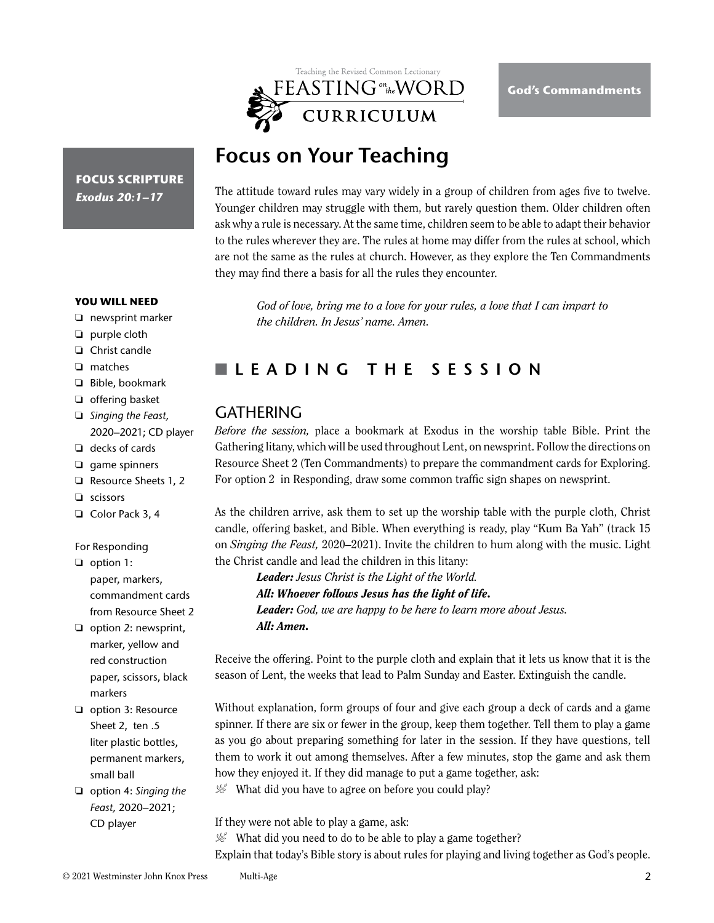

## **Focus on Your Teaching**

The attitude toward rules may vary widely in a group of children from ages five to twelve. Younger children may struggle with them, but rarely question them. Older children often ask why a rule is necessary. At the same time, children seem to be able to adapt their behavior to the rules wherever they are. The rules at home may differ from the rules at school, which are not the same as the rules at church. However, as they explore the Ten Commandments they may find there a basis for all the rules they encounter.

*God of love, bring me to a love for your rules, a love that I can impart to the children. In Jesus' name. Amen.* 

## n **LEADING THE SESSION**

## **GATHERING**

*Before the session,* place a bookmark at Exodus in the worship table Bible. Print the Gathering litany, which will be used throughout Lent, on newsprint. Follow the directions on Resource Sheet 2 (Ten Commandments) to prepare the commandment cards for Exploring. For option 2 in Responding, draw some common traffic sign shapes on newsprint.

As the children arrive, ask them to set up the worship table with the purple cloth, Christ candle, offering basket, and Bible. When everything is ready, play "Kum Ba Yah" (track 15 on *Singing the Feast,* 2020–2021). Invite the children to hum along with the music. Light the Christ candle and lead the children in this litany:

*Leader: Jesus Christ is the Light of the World. All: Whoever follows Jesus has the light of life. Leader: God, we are happy to be here to learn more about Jesus. All: Amen.*

Receive the offering. Point to the purple cloth and explain that it lets us know that it is the season of Lent, the weeks that lead to Palm Sunday and Easter. Extinguish the candle.

Without explanation, form groups of four and give each group a deck of cards and a game spinner. If there are six or fewer in the group, keep them together. Tell them to play a game as you go about preparing something for later in the session. If they have questions, tell them to work it out among themselves. After a few minutes, stop the game and ask them how they enjoyed it. If they did manage to put a game together, ask:

 $\mathcal{L}$  What did you have to agree on before you could play?

If they were not able to play a game, ask:

 $\mathcal{L}$  What did you need to do to be able to play a game together?

Explain that today's Bible story is about rules for playing and living together as God's people.

**FOCUS SCRIPTURE** *Exodus 20:1–17*

**YOU WILL NEED**

- ❏ newsprint marker
- ❏ purple cloth
- ❏ Christ candle
- ❏ matches
- ❏ Bible, bookmark
- ❏ offering basket
- ❏ *Singing the Feast,* 2020–2021; CD player
- ❏ decks of cards
- ❏ game spinners
- ❏ Resource Sheets 1, 2
- ❏ scissors
- ❏ Color Pack 3, 4

#### For Responding

- ❏ option 1: paper, markers, commandment cards from Resource Sheet 2
- ❏ option 2: newsprint, marker, yellow and red construction paper, scissors, black markers
- ❏ option 3: Resource Sheet 2, ten .5 liter plastic bottles, permanent markers, small ball
- ❏ option 4: *Singing the Feast,* 2020–2021; CD player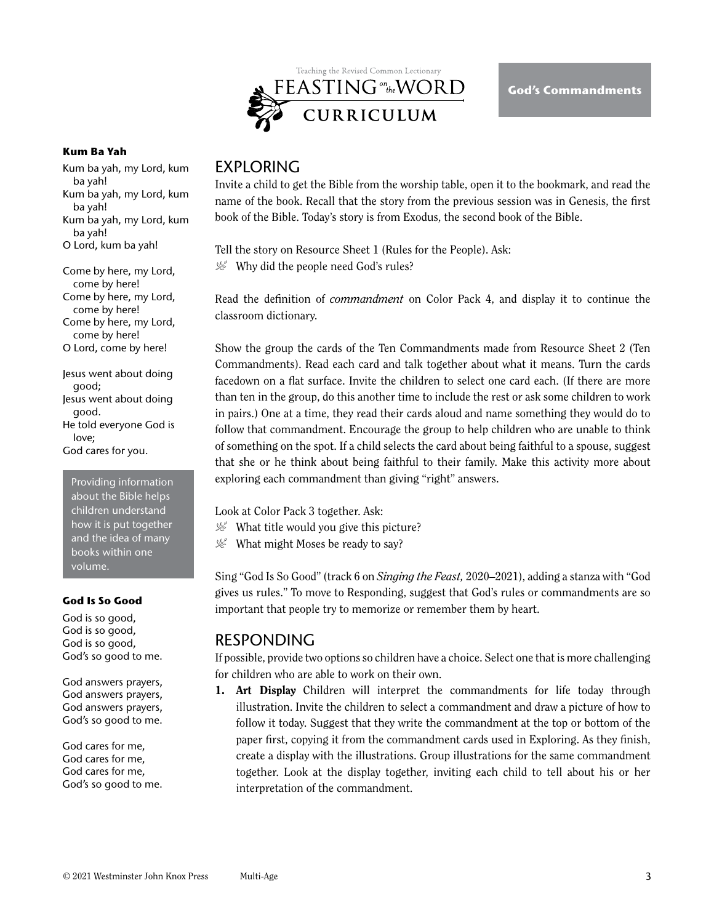

#### **Kum Ba Yah**

- Kum ba yah, my Lord, kum ba yah!
- Kum ba yah, my Lord, kum ba yah!
- Kum ba yah, my Lord, kum ba yah!
- O Lord, kum ba yah!

Come by here, my Lord, come by here!

Come by here, my Lord, come by here!

Come by here, my Lord, come by here!

O Lord, come by here!

Jesus went about doing good; Jesus went about doing good. He told everyone God is love;

God cares for you.

Providing information about the Bible helps children understand how it is put together and the idea of many books within one volume.

#### **God Is So Good**

God is so good, God is so good, God is so good, God's so good to me.

God answers prayers, God answers prayers, God answers prayers, God's so good to me.

God cares for me, God cares for me, God cares for me, God's so good to me.

## **FXPI ORING**

Invite a child to get the Bible from the worship table, open it to the bookmark, and read the name of the book. Recall that the story from the previous session was in Genesis, the first book of the Bible. Today's story is from Exodus, the second book of the Bible.

Tell the story on Resource Sheet 1 (Rules for the People). Ask:  $\mathcal{L}$  Why did the people need God's rules?

Read the definition of *commandment* on Color Pack 4, and display it to continue the classroom dictionary.

Show the group the cards of the Ten Commandments made from Resource Sheet 2 (Ten Commandments). Read each card and talk together about what it means. Turn the cards facedown on a flat surface. Invite the children to select one card each. (If there are more than ten in the group, do this another time to include the rest or ask some children to work in pairs.) One at a time, they read their cards aloud and name something they would do to follow that commandment. Encourage the group to help children who are unable to think of something on the spot. If a child selects the card about being faithful to a spouse, suggest that she or he think about being faithful to their family. Make this activity more about exploring each commandment than giving "right" answers.

Look at Color Pack 3 together. Ask:

 $\mathcal{L}$  What title would you give this picture?

 $\mathcal{L}$  What might Moses be ready to say?

Sing "God Is So Good" (track 6 on *Singing the Feast,* 2020–2021), adding a stanza with "God gives us rules." To move to Responding, suggest that God's rules or commandments are so important that people try to memorize or remember them by heart.

## RESPONDING

If possible, provide two options so children have a choice. Select one that is more challenging for children who are able to work on their own.

1. Art Display Children will interpret the commandments for life today through illustration. Invite the children to select a commandment and draw a picture of how to follow it today. Suggest that they write the commandment at the top or bottom of the paper first, copying it from the commandment cards used in Exploring. As they finish, create a display with the illustrations. Group illustrations for the same commandment together. Look at the display together, inviting each child to tell about his or her interpretation of the commandment.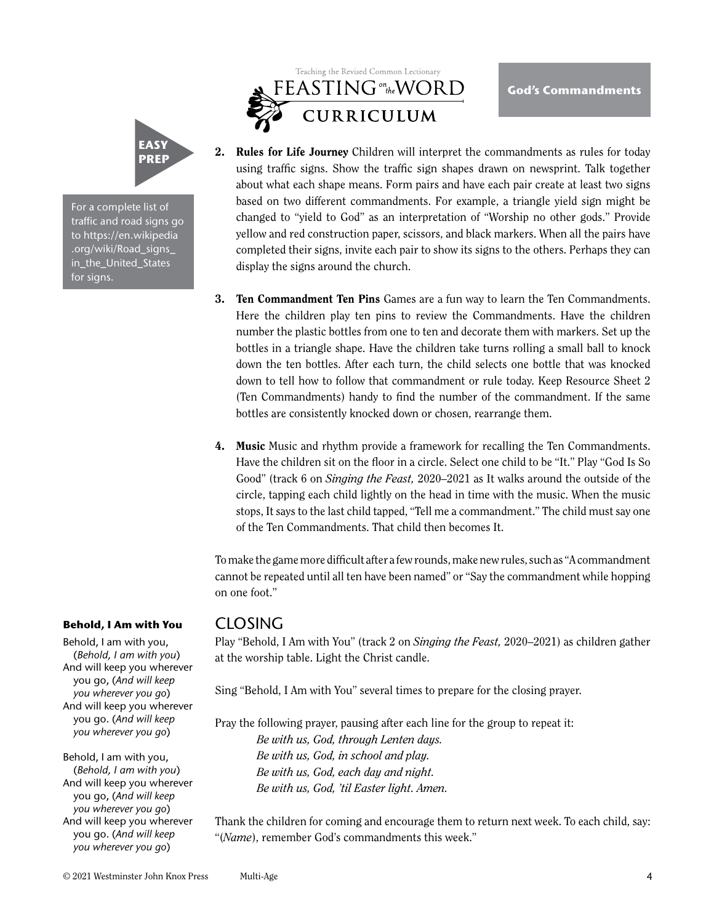

For a complete list of traffic and road signs go to https://en.wikipedia .org/wiki/Road\_signs\_ in\_the\_United\_States for signs.

# Teaching the Revised Common Lectionary FEASTING ONLY VORD

2. Rules for Life Journey Children will interpret the commandments as rules for today using traffic signs. Show the traffic sign shapes drawn on newsprint. Talk together about what each shape means. Form pairs and have each pair create at least two signs based on two different commandments. For example, a triangle yield sign might be changed to "yield to God" as an interpretation of "Worship no other gods." Provide yellow and red construction paper, scissors, and black markers. When all the pairs have completed their signs, invite each pair to show its signs to the others. Perhaps they can display the signs around the church.

**God's Commandments**

- **3. Ten Commandment Ten Pins** Games are a fun way to learn the Ten Commandments. Here the children play ten pins to review the Commandments. Have the children number the plastic bottles from one to ten and decorate them with markers. Set up the bottles in a triangle shape. Have the children take turns rolling a small ball to knock down the ten bottles. After each turn, the child selects one bottle that was knocked down to tell how to follow that commandment or rule today. Keep Resource Sheet 2 (Ten Commandments) handy to find the number of the commandment. If the same bottles are consistently knocked down or chosen, rearrange them.
- 4. Music Music and rhythm provide a framework for recalling the Ten Commandments. Have the children sit on the floor in a circle. Select one child to be "It." Play "God Is So Good" (track 6 on *Singing the Feast,* 2020–2021 as It walks around the outside of the circle, tapping each child lightly on the head in time with the music. When the music stops, It says to the last child tapped, "Tell me a commandment." The child must say one of the Ten Commandments. That child then becomes It.

To make the game more difficult after a few rounds, make new rules, such as "A commandment cannot be repeated until all ten have been named" or "Say the commandment while hopping on one foot."

### CLOSING

Play "Behold, I Am with You" (track 2 on *Singing the Feast,* 2020–2021) as children gather at the worship table. Light the Christ candle.

Sing "Behold, I Am with You" several times to prepare for the closing prayer.

Pray the following prayer, pausing after each line for the group to repeat it:

*Be with us, God, through Lenten days. Be with us, God, in school and play. Be with us, God, each day and night. Be with us, God, 'til Easter light. Amen.* 

Thank the children for coming and encourage them to return next week. To each child, say: "(*Name*), remember God's commandments this week."

#### **Behold, I Am with You**

Behold, I am with you, (*Behold, I am with you*) And will keep you wherever you go, (*And will keep you wherever you go*) And will keep you wherever you go. (*And will keep you wherever you go*)

Behold, I am with you, (*Behold, I am with you*) And will keep you wherever you go, (*And will keep you wherever you go*) And will keep you wherever you go. (*And will keep you wherever you go*)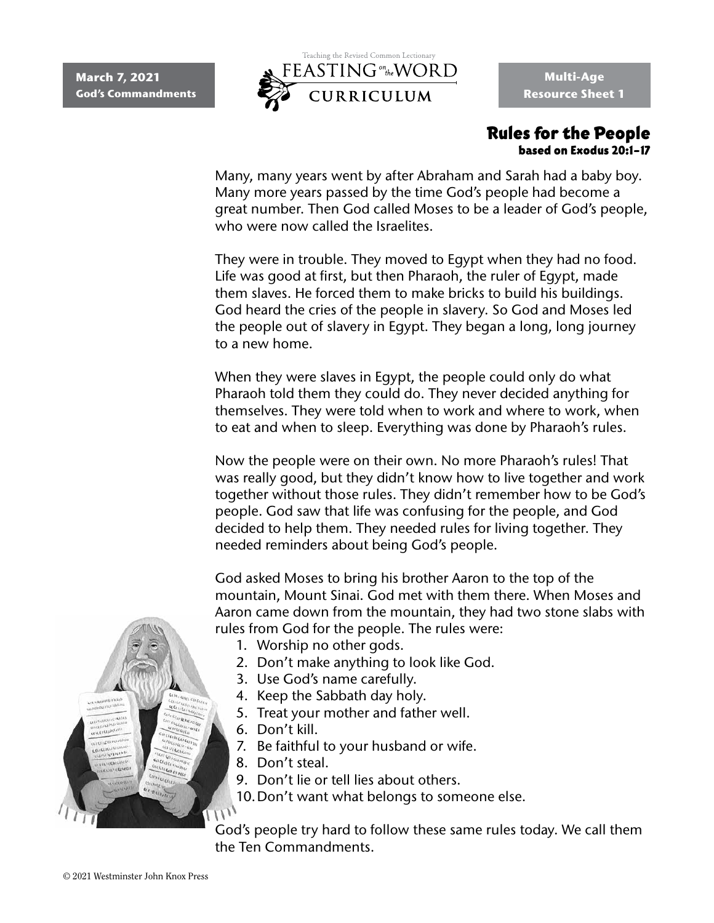

**Multi-Age Resource Sheet 1**

### Rules for the People based on Exodus 20:1–17

Many, many years went by after Abraham and Sarah had a baby boy. Many more years passed by the time God's people had become a great number. Then God called Moses to be a leader of God's people, who were now called the Israelites.

They were in trouble. They moved to Egypt when they had no food. Life was good at first, but then Pharaoh, the ruler of Egypt, made them slaves. He forced them to make bricks to build his buildings. God heard the cries of the people in slavery. So God and Moses led the people out of slavery in Egypt. They began a long, long journey to a new home.

When they were slaves in Egypt, the people could only do what Pharaoh told them they could do. They never decided anything for themselves. They were told when to work and where to work, when to eat and when to sleep. Everything was done by Pharaoh's rules.

Now the people were on their own. No more Pharaoh's rules! That was really good, but they didn't know how to live together and work together without those rules. They didn't remember how to be God's people. God saw that life was confusing for the people, and God decided to help them. They needed rules for living together. They needed reminders about being God's people.

God asked Moses to bring his brother Aaron to the top of the mountain, Mount Sinai. God met with them there. When Moses and Aaron came down from the mountain, they had two stone slabs with rules from God for the people. The rules were:

- 1. Worship no other gods.
- 2. Don't make anything to look like God.
- 3. Use God's name carefully.
- 4. Keep the Sabbath day holy.
- 5. Treat your mother and father well.
- 6. Don't kill.
- 7. Be faithful to your husband or wife.
- 8. Don't steal.
- 9. Don't lie or tell lies about others.
- 10.Don't want what belongs to someone else.

God's people try hard to follow these same rules today. We call them the Ten Commandments.